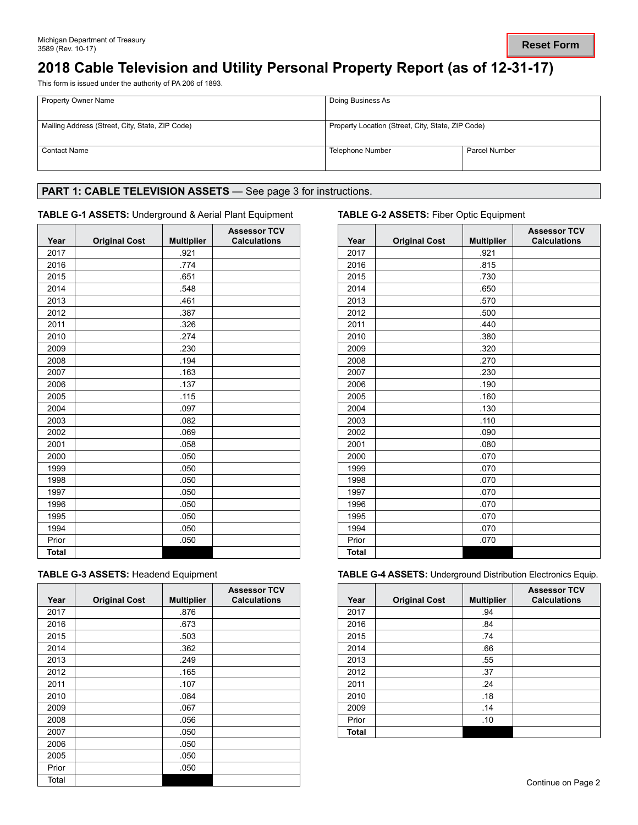# **2018 Cable Television and Utility Personal Property Report (as of 12-31-17)**

This form is issued under the authority of PA 206 of 1893.

| <b>Property Owner Name</b>                      | Doing Business As                                 |               |  |
|-------------------------------------------------|---------------------------------------------------|---------------|--|
| Mailing Address (Street, City, State, ZIP Code) | Property Location (Street, City, State, ZIP Code) |               |  |
| <b>Contact Name</b>                             | Telephone Number                                  | Parcel Number |  |

## PART 1: CABLE TELEVISION ASSETS - See page 3 for instructions.

## **TABLE G-1 ASSETS:** Underground & Aerial Plant Equipment **TABLE G-2 ASSETS:** Fiber Optic Equipment

| Year         | <b>Original Cost</b> | <b>Multiplier</b> | <b>Assessor TCV</b><br><b>Calculations</b> | Year         | <b>Original Cost</b> | <b>Multipl</b> |
|--------------|----------------------|-------------------|--------------------------------------------|--------------|----------------------|----------------|
| 2017         |                      | .921              |                                            | 2017         |                      | .921           |
| 2016         |                      | .774              |                                            | 2016         |                      | .815           |
| 2015         |                      | .651              |                                            | 2015         |                      | .730           |
| 2014         |                      | .548              |                                            | 2014         |                      | .650           |
| 2013         |                      | .461              |                                            | 2013         |                      | .570           |
| 2012         |                      | .387              |                                            | 2012         |                      | .500           |
| 2011         |                      | .326              |                                            | 2011         |                      | .440           |
| 2010         |                      | .274              |                                            | 2010         |                      | .380           |
| 2009         |                      | .230              |                                            | 2009         |                      | .320           |
| 2008         |                      | .194              |                                            | 2008         |                      | .270           |
| 2007         |                      | .163              |                                            | 2007         |                      | .230           |
| 2006         |                      | .137              |                                            | 2006         |                      | .190           |
| 2005         |                      | .115              |                                            | 2005         |                      | .160           |
| 2004         |                      | .097              |                                            | 2004         |                      | .130           |
| 2003         |                      | .082              |                                            | 2003         |                      | .110           |
| 2002         |                      | .069              |                                            | 2002         |                      | .090           |
| 2001         |                      | .058              |                                            | 2001         |                      | .080           |
| 2000         |                      | .050              |                                            | 2000         |                      | .070           |
| 1999         |                      | .050              |                                            | 1999         |                      | .070           |
| 1998         |                      | .050              |                                            | 1998         |                      | .070           |
| 1997         |                      | .050              |                                            | 1997         |                      | .070           |
| 1996         |                      | .050              |                                            | 1996         |                      | .070           |
| 1995         |                      | .050              |                                            | 1995         |                      | .070           |
| 1994         |                      | .050              |                                            | 1994         |                      | .070           |
| Prior        |                      | .050              |                                            | Prior        |                      | .070           |
| <b>Total</b> |                      |                   |                                            | <b>Total</b> |                      |                |

|  |  |  |  |  | <b>TABLE G-3 ASSETS: Headend Equipment</b> |
|--|--|--|--|--|--------------------------------------------|
|--|--|--|--|--|--------------------------------------------|

| Year  | <b>Original Cost</b> | <b>Multiplier</b> | <b>Assessor TCV</b><br><b>Calculations</b> | Year  | <b>Original Cost</b> | <b>Multip</b> |
|-------|----------------------|-------------------|--------------------------------------------|-------|----------------------|---------------|
| 2017  |                      | .876              |                                            | 2017  |                      | .94           |
| 2016  |                      | .673              |                                            | 2016  |                      | .84           |
| 2015  |                      | .503              |                                            | 2015  |                      | .74           |
| 2014  |                      | .362              |                                            | 2014  |                      | .66           |
| 2013  |                      | .249              |                                            | 2013  |                      | .55           |
| 2012  |                      | .165              |                                            | 2012  |                      | .37           |
| 2011  |                      | .107              |                                            | 2011  |                      | .24           |
| 2010  |                      | .084              |                                            | 2010  |                      | .18           |
| 2009  |                      | .067              |                                            | 2009  |                      | .14           |
| 2008  |                      | .056              |                                            | Prior |                      | .10           |
| 2007  |                      | .050              |                                            | Total |                      |               |
| 2006  |                      | .050              |                                            |       |                      |               |
| 2005  |                      | .050              |                                            |       |                      |               |
| Prior |                      | .050              |                                            |       |                      |               |
| Total |                      |                   |                                            |       |                      |               |

| <b>Assessor TCV</b><br><b>Calculations</b> | Year         | <b>Original Cost</b> | <b>Multiplier</b> | <b>Assessor TCV</b><br><b>Calculations</b> |
|--------------------------------------------|--------------|----------------------|-------------------|--------------------------------------------|
|                                            | 2017         |                      | .921              |                                            |
|                                            | 2016         |                      | .815              |                                            |
|                                            | 2015         |                      | .730              |                                            |
|                                            | 2014         |                      | .650              |                                            |
|                                            | 2013         |                      | .570              |                                            |
|                                            | 2012         |                      | .500              |                                            |
|                                            | 2011         |                      | .440              |                                            |
|                                            | 2010         |                      | .380              |                                            |
|                                            | 2009         |                      | .320              |                                            |
|                                            | 2008         |                      | .270              |                                            |
|                                            | 2007         |                      | .230              |                                            |
|                                            | 2006         |                      | .190              |                                            |
|                                            | 2005         |                      | .160              |                                            |
|                                            | 2004         |                      | .130              |                                            |
|                                            | 2003         |                      | .110              |                                            |
|                                            | 2002         |                      | .090              |                                            |
|                                            | 2001         |                      | .080              |                                            |
|                                            | 2000         |                      | .070              |                                            |
|                                            | 1999         |                      | .070              |                                            |
|                                            | 1998         |                      | .070              |                                            |
|                                            | 1997         |                      | .070              |                                            |
|                                            | 1996         |                      | .070              |                                            |
|                                            | 1995         |                      | .070              |                                            |
|                                            | 1994         |                      | .070              |                                            |
|                                            | Prior        |                      | .070              |                                            |
|                                            | <b>Total</b> |                      |                   |                                            |

**TABLE G-4 ASSETS: Underground Distribution Electronics Equip.** 

| <b>Assessor TCV</b><br><b>Calculations</b> | Year         | <b>Original Cost</b> | <b>Multiplier</b> | <b>Assessor TCV</b><br><b>Calculations</b> |
|--------------------------------------------|--------------|----------------------|-------------------|--------------------------------------------|
|                                            | 2017         |                      | .94               |                                            |
|                                            | 2016         |                      | .84               |                                            |
|                                            | 2015         |                      | .74               |                                            |
|                                            | 2014         |                      | .66               |                                            |
|                                            | 2013         |                      | .55               |                                            |
|                                            | 2012         |                      | .37               |                                            |
|                                            | 2011         |                      | .24               |                                            |
|                                            | 2010         |                      | .18               |                                            |
|                                            | 2009         |                      | .14               |                                            |
|                                            | Prior        |                      | .10               |                                            |
|                                            | <b>Total</b> |                      |                   |                                            |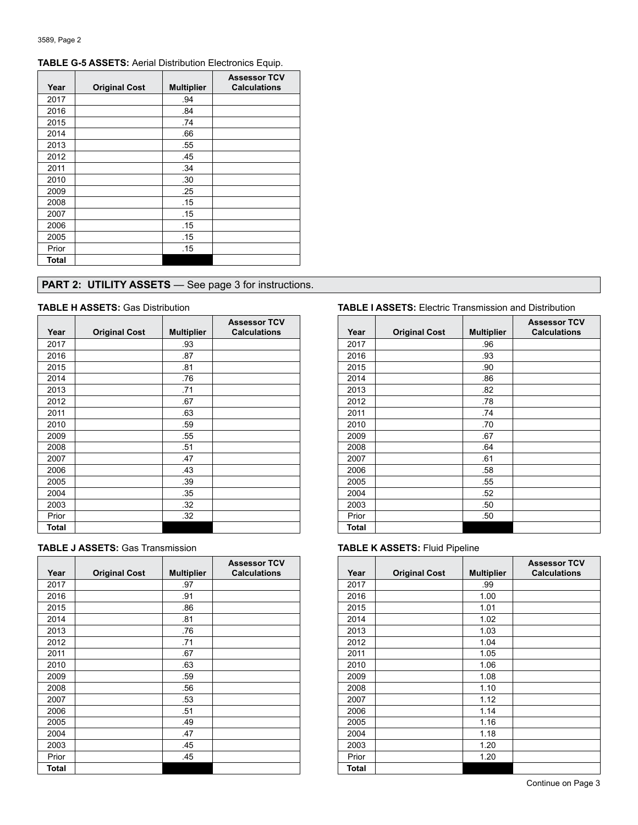| Year  | <b>Original Cost</b> | <b>Multiplier</b> | <b>Assessor TCV</b><br><b>Calculations</b> |
|-------|----------------------|-------------------|--------------------------------------------|
| 2017  |                      | .94               |                                            |
| 2016  |                      | .84               |                                            |
| 2015  |                      | .74               |                                            |
| 2014  |                      | .66               |                                            |
| 2013  |                      | .55               |                                            |
| 2012  |                      | .45               |                                            |
| 2011  |                      | .34               |                                            |
| 2010  |                      | .30               |                                            |
| 2009  |                      | .25               |                                            |
| 2008  |                      | .15               |                                            |
| 2007  |                      | .15               |                                            |
| 2006  |                      | .15               |                                            |
| 2005  |                      | .15               |                                            |
| Prior |                      | .15               |                                            |
| Total |                      |                   |                                            |

## **TABLE G-5 ASSETS:** Aerial Distribution Electronics Equip.

## **PART 2: UTILITY ASSETS** — See page 3 for instructions.

| Year  |                      |                   | <b>Assessor TCV</b><br><b>Calculations</b> | Year  |                      |  |
|-------|----------------------|-------------------|--------------------------------------------|-------|----------------------|--|
|       | <b>Original Cost</b> | <b>Multiplier</b> |                                            |       | <b>Original Cost</b> |  |
| 2017  |                      | .93               |                                            | 2017  |                      |  |
| 2016  |                      | .87               |                                            | 2016  |                      |  |
| 2015  |                      | .81               |                                            | 2015  |                      |  |
| 2014  |                      | .76               |                                            | 2014  |                      |  |
| 2013  |                      | .71               |                                            | 2013  |                      |  |
| 2012  |                      | .67               |                                            | 2012  |                      |  |
| 2011  |                      | .63               |                                            | 2011  |                      |  |
| 2010  |                      | .59               |                                            | 2010  |                      |  |
| 2009  |                      | .55               |                                            | 2009  |                      |  |
| 2008  |                      | .51               |                                            | 2008  |                      |  |
| 2007  |                      | .47               |                                            | 2007  |                      |  |
| 2006  |                      | .43               |                                            | 2006  |                      |  |
| 2005  |                      | .39               |                                            | 2005  |                      |  |
| 2004  |                      | .35               |                                            | 2004  |                      |  |
| 2003  |                      | .32               |                                            | 2003  |                      |  |
| Prior |                      | .32               |                                            | Prior |                      |  |
| Total |                      |                   |                                            | Total |                      |  |

| <b>TABLE J ASSETS: Gas Transmission</b> |  |
|-----------------------------------------|--|
|-----------------------------------------|--|

|       |                      |                   | <b>Assessor TCV</b> |       |                      |                |
|-------|----------------------|-------------------|---------------------|-------|----------------------|----------------|
| Year  | <b>Original Cost</b> | <b>Multiplier</b> | <b>Calculations</b> | Year  | <b>Original Cost</b> | <b>Multipl</b> |
| 2017  |                      | .97               |                     | 2017  |                      | .99            |
| 2016  |                      | .91               |                     | 2016  |                      | 1.00           |
| 2015  |                      | .86               |                     | 2015  |                      | 1.01           |
| 2014  |                      | .81               |                     | 2014  |                      | 1.02           |
| 2013  |                      | .76               |                     | 2013  |                      | 1.03           |
| 2012  |                      | .71               |                     | 2012  |                      | 1.04           |
| 2011  |                      | .67               |                     | 2011  |                      | 1.05           |
| 2010  |                      | .63               |                     | 2010  |                      | 1.06           |
| 2009  |                      | .59               |                     | 2009  |                      | 1.08           |
| 2008  |                      | .56               |                     | 2008  |                      | 1.10           |
| 2007  |                      | .53               |                     | 2007  |                      | 1.12           |
| 2006  |                      | .51               |                     | 2006  |                      | 1.14           |
| 2005  |                      | .49               |                     | 2005  |                      | 1.16           |
| 2004  |                      | .47               |                     | 2004  |                      | 1.18           |
| 2003  |                      | .45               |                     | 2003  |                      | 1.20           |
| Prior |                      | .45               |                     | Prior |                      | 1.20           |
| Total |                      |                   |                     | Total |                      |                |
|       |                      |                   |                     |       |                      |                |

### **TABLE H ASSETS:** Gas Distribution **TABLE I ASSETS:** Electric Transmission and Distribution

| <b>Assessor TCV</b><br><b>Calculations</b> | Year         | <b>Original Cost</b> | <b>Multiplier</b> | <b>Assessor TCV</b><br><b>Calculations</b> |
|--------------------------------------------|--------------|----------------------|-------------------|--------------------------------------------|
|                                            | 2017         |                      | .96               |                                            |
|                                            | 2016         |                      | .93               |                                            |
|                                            | 2015         |                      | .90               |                                            |
|                                            | 2014         |                      | .86               |                                            |
|                                            | 2013         |                      | .82               |                                            |
|                                            | 2012         |                      | .78               |                                            |
|                                            | 2011         |                      | .74               |                                            |
|                                            | 2010         |                      | .70               |                                            |
|                                            | 2009         |                      | .67               |                                            |
|                                            | 2008         |                      | .64               |                                            |
|                                            | 2007         |                      | .61               |                                            |
|                                            | 2006         |                      | 58                |                                            |
|                                            | 2005         |                      | .55               |                                            |
|                                            | 2004         |                      | .52               |                                            |
|                                            | 2003         |                      | .50               |                                            |
|                                            | Prior        |                      | .50               |                                            |
|                                            | <b>Total</b> |                      |                   |                                            |

## **TABLE K ASSETS: Fluid Pipeline**

| <b>Assessor TCV</b><br><b>Calculations</b> | Year  | <b>Original Cost</b> | <b>Multiplier</b> | <b>Assessor TCV</b><br><b>Calculations</b> |
|--------------------------------------------|-------|----------------------|-------------------|--------------------------------------------|
|                                            | 2017  |                      | .99               |                                            |
|                                            | 2016  |                      | 1.00              |                                            |
|                                            | 2015  |                      | 1.01              |                                            |
|                                            | 2014  |                      | 1.02              |                                            |
|                                            | 2013  |                      | 1.03              |                                            |
|                                            | 2012  |                      | 1.04              |                                            |
|                                            | 2011  |                      | 1.05              |                                            |
|                                            | 2010  |                      | 1.06              |                                            |
|                                            | 2009  |                      | 1.08              |                                            |
|                                            | 2008  |                      | 1.10              |                                            |
|                                            | 2007  |                      | 1.12              |                                            |
|                                            | 2006  |                      | 1.14              |                                            |
|                                            | 2005  |                      | 1.16              |                                            |
|                                            | 2004  |                      | 1.18              |                                            |
|                                            | 2003  |                      | 1.20              |                                            |
|                                            | Prior |                      | 1.20              |                                            |
|                                            | Total |                      |                   |                                            |